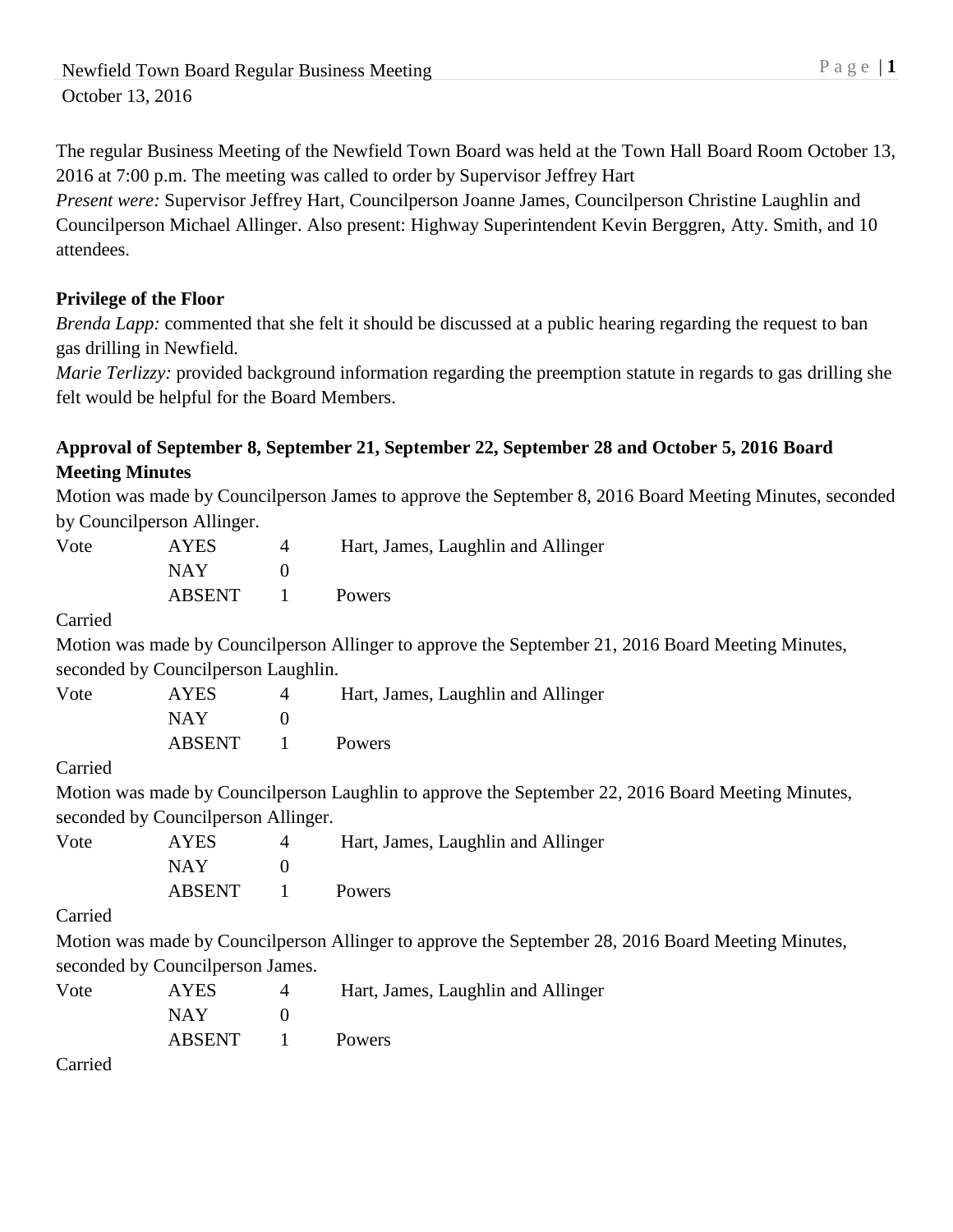The regular Business Meeting of the Newfield Town Board was held at the Town Hall Board Room October 13, 2016 at 7:00 p.m. The meeting was called to order by Supervisor Jeffrey Hart

*Present were:* Supervisor Jeffrey Hart, Councilperson Joanne James, Councilperson Christine Laughlin and Councilperson Michael Allinger. Also present: Highway Superintendent Kevin Berggren, Atty. Smith, and 10 attendees.

## **Privilege of the Floor**

*Brenda Lapp:* commented that she felt it should be discussed at a public hearing regarding the request to ban gas drilling in Newfield.

*Marie Terlizzy:* provided background information regarding the preemption statute in regards to gas drilling she felt would be helpful for the Board Members.

## **Approval of September 8, September 21, September 22, September 28 and October 5, 2016 Board Meeting Minutes**

Motion was made by Councilperson James to approve the September 8, 2016 Board Meeting Minutes, seconded by Councilperson Allinger.

| Vote    | <b>AYES</b>                          | 4              | Hart, James, Laughlin and Allinger                                                                 |  |  |
|---------|--------------------------------------|----------------|----------------------------------------------------------------------------------------------------|--|--|
|         | <b>NAY</b>                           | $\theta$       |                                                                                                    |  |  |
|         | <b>ABSENT</b>                        |                | <b>Powers</b>                                                                                      |  |  |
| Carried |                                      |                |                                                                                                    |  |  |
|         |                                      |                | Motion was made by Councilperson Allinger to approve the September 21, 2016 Board Meeting Minutes, |  |  |
|         | seconded by Council person Laughlin. |                |                                                                                                    |  |  |
| Vote    | <b>AYES</b>                          | $\overline{4}$ | Hart, James, Laughlin and Allinger                                                                 |  |  |
|         | <b>NAY</b>                           | $\Omega$       |                                                                                                    |  |  |
|         | <b>ABSENT</b>                        |                | Powers                                                                                             |  |  |

Carried

Motion was made by Councilperson Laughlin to approve the September 22, 2016 Board Meeting Minutes, seconded by Councilperson Allinger.

| Vote | <b>AYES</b> | Hart, James, Laughlin and Allinger |
|------|-------------|------------------------------------|
|      | NAY.        |                                    |
|      | ABSENT      | Powers                             |

Carried

Motion was made by Councilperson Allinger to approve the September 28, 2016 Board Meeting Minutes, seconded by Councilperson James.

| Vote | <b>AYES</b> | 4               | Hart, James, Laughlin and Allinger |
|------|-------------|-----------------|------------------------------------|
|      | NAY.        |                 |                                    |
|      | ABSENT      | $\sim$ 1 $\sim$ | <b>Powers</b>                      |
| -    |             |                 |                                    |

Carried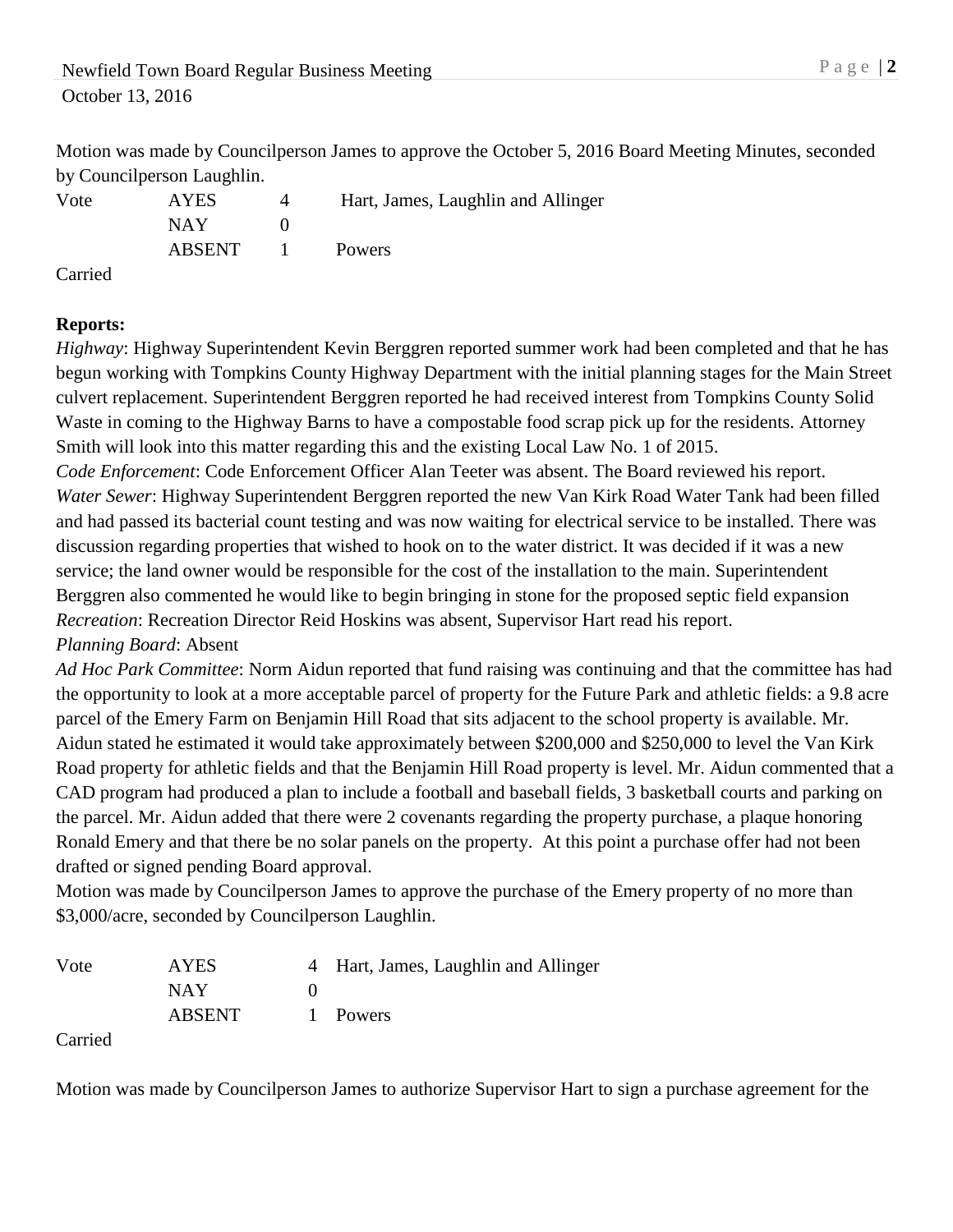Motion was made by Councilperson James to approve the October 5, 2016 Board Meeting Minutes, seconded by Councilperson Laughlin.

|      | $\sigma$ , counting croon manifold $\sigma$ |                                    |
|------|---------------------------------------------|------------------------------------|
| Vote | <b>AYES</b>                                 | Hart, James, Laughlin and Allinger |
|      | NAY.                                        |                                    |
|      | ABSENT                                      | <b>Powers</b>                      |

Carried

## **Reports:**

*Highway*: Highway Superintendent Kevin Berggren reported summer work had been completed and that he has begun working with Tompkins County Highway Department with the initial planning stages for the Main Street culvert replacement. Superintendent Berggren reported he had received interest from Tompkins County Solid Waste in coming to the Highway Barns to have a compostable food scrap pick up for the residents. Attorney Smith will look into this matter regarding this and the existing Local Law No. 1 of 2015.

*Code Enforcement*: Code Enforcement Officer Alan Teeter was absent. The Board reviewed his report. *Water Sewer*: Highway Superintendent Berggren reported the new Van Kirk Road Water Tank had been filled and had passed its bacterial count testing and was now waiting for electrical service to be installed. There was discussion regarding properties that wished to hook on to the water district. It was decided if it was a new service; the land owner would be responsible for the cost of the installation to the main. Superintendent Berggren also commented he would like to begin bringing in stone for the proposed septic field expansion *Recreation*: Recreation Director Reid Hoskins was absent, Supervisor Hart read his report. *Planning Board*: Absent

*Ad Hoc Park Committee*: Norm Aidun reported that fund raising was continuing and that the committee has had the opportunity to look at a more acceptable parcel of property for the Future Park and athletic fields: a 9.8 acre parcel of the Emery Farm on Benjamin Hill Road that sits adjacent to the school property is available. Mr. Aidun stated he estimated it would take approximately between \$200,000 and \$250,000 to level the Van Kirk Road property for athletic fields and that the Benjamin Hill Road property is level. Mr. Aidun commented that a CAD program had produced a plan to include a football and baseball fields, 3 basketball courts and parking on the parcel. Mr. Aidun added that there were 2 covenants regarding the property purchase, a plaque honoring Ronald Emery and that there be no solar panels on the property. At this point a purchase offer had not been drafted or signed pending Board approval.

Motion was made by Councilperson James to approve the purchase of the Emery property of no more than \$3,000/acre, seconded by Councilperson Laughlin.

| Vote | <b>AYES</b>   | 4 Hart, James, Laughlin and Allinger |
|------|---------------|--------------------------------------|
|      | NAY.          |                                      |
|      | <b>ABSENT</b> | 1 Powers                             |

Carried

Motion was made by Councilperson James to authorize Supervisor Hart to sign a purchase agreement for the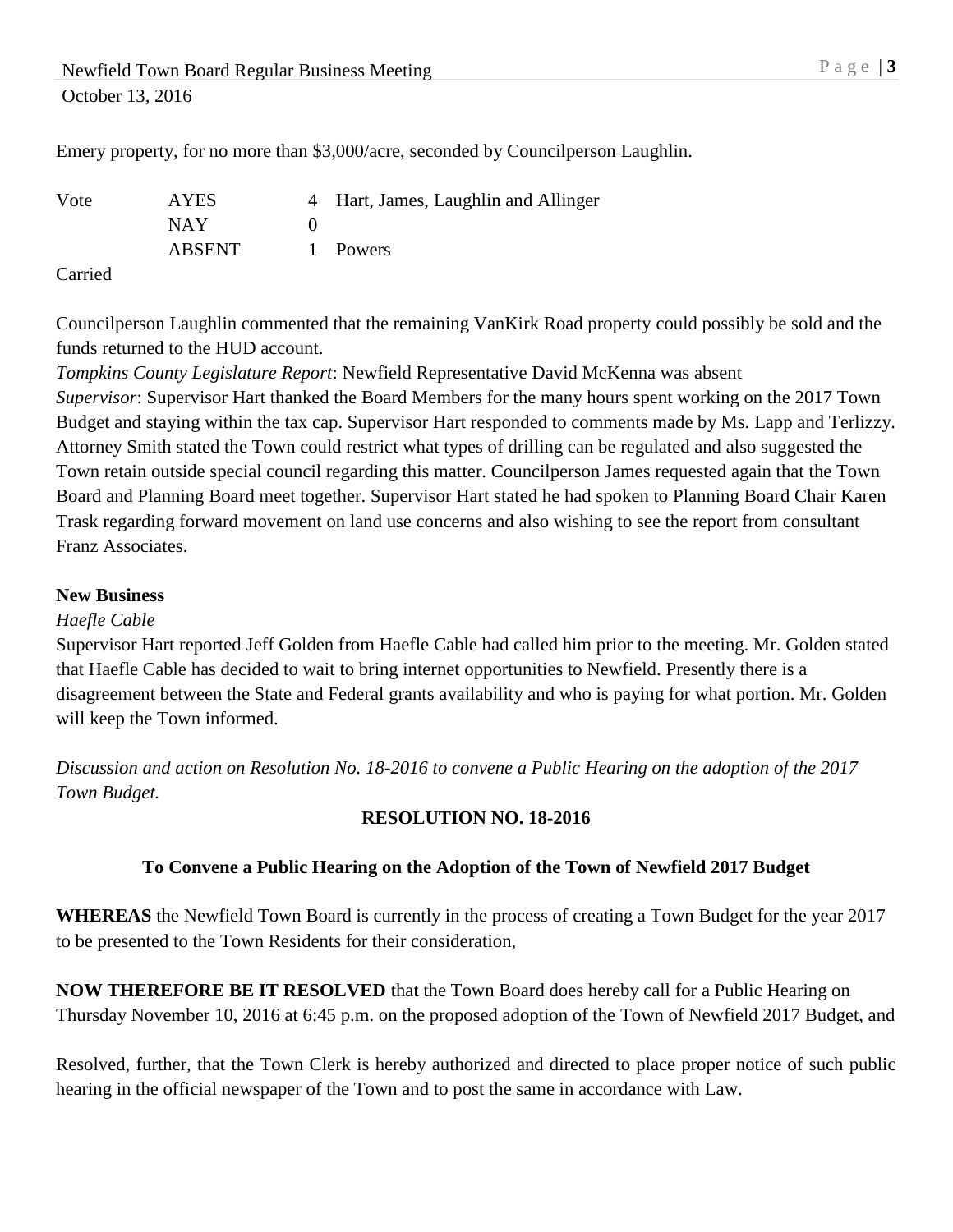Newfield Town Board Regular Business Meeting P a g e | 3 October 13, 2016

Emery property, for no more than \$3,000/acre, seconded by Councilperson Laughlin.

| Vote | <b>AYES</b>   | 4 Hart, James, Laughlin and Allinger |
|------|---------------|--------------------------------------|
|      | NAY.          |                                      |
|      | <b>ABSENT</b> | 1 Powers                             |
| __   |               |                                      |

Carried

Councilperson Laughlin commented that the remaining VanKirk Road property could possibly be sold and the funds returned to the HUD account.

*Tompkins County Legislature Report*: Newfield Representative David McKenna was absent *Supervisor*: Supervisor Hart thanked the Board Members for the many hours spent working on the 2017 Town Budget and staying within the tax cap. Supervisor Hart responded to comments made by Ms. Lapp and Terlizzy. Attorney Smith stated the Town could restrict what types of drilling can be regulated and also suggested the Town retain outside special council regarding this matter. Councilperson James requested again that the Town Board and Planning Board meet together. Supervisor Hart stated he had spoken to Planning Board Chair Karen Trask regarding forward movement on land use concerns and also wishing to see the report from consultant Franz Associates.

#### **New Business**

#### *Haefle Cable*

Supervisor Hart reported Jeff Golden from Haefle Cable had called him prior to the meeting. Mr. Golden stated that Haefle Cable has decided to wait to bring internet opportunities to Newfield. Presently there is a disagreement between the State and Federal grants availability and who is paying for what portion. Mr. Golden will keep the Town informed.

*Discussion and action on Resolution No. 18-2016 to convene a Public Hearing on the adoption of the 2017 Town Budget.*

### **RESOLUTION NO. 18-2016**

### **To Convene a Public Hearing on the Adoption of the Town of Newfield 2017 Budget**

**WHEREAS** the Newfield Town Board is currently in the process of creating a Town Budget for the year 2017 to be presented to the Town Residents for their consideration,

**NOW THEREFORE BE IT RESOLVED** that the Town Board does hereby call for a Public Hearing on Thursday November 10, 2016 at 6:45 p.m. on the proposed adoption of the Town of Newfield 2017 Budget, and

Resolved, further, that the Town Clerk is hereby authorized and directed to place proper notice of such public hearing in the official newspaper of the Town and to post the same in accordance with Law.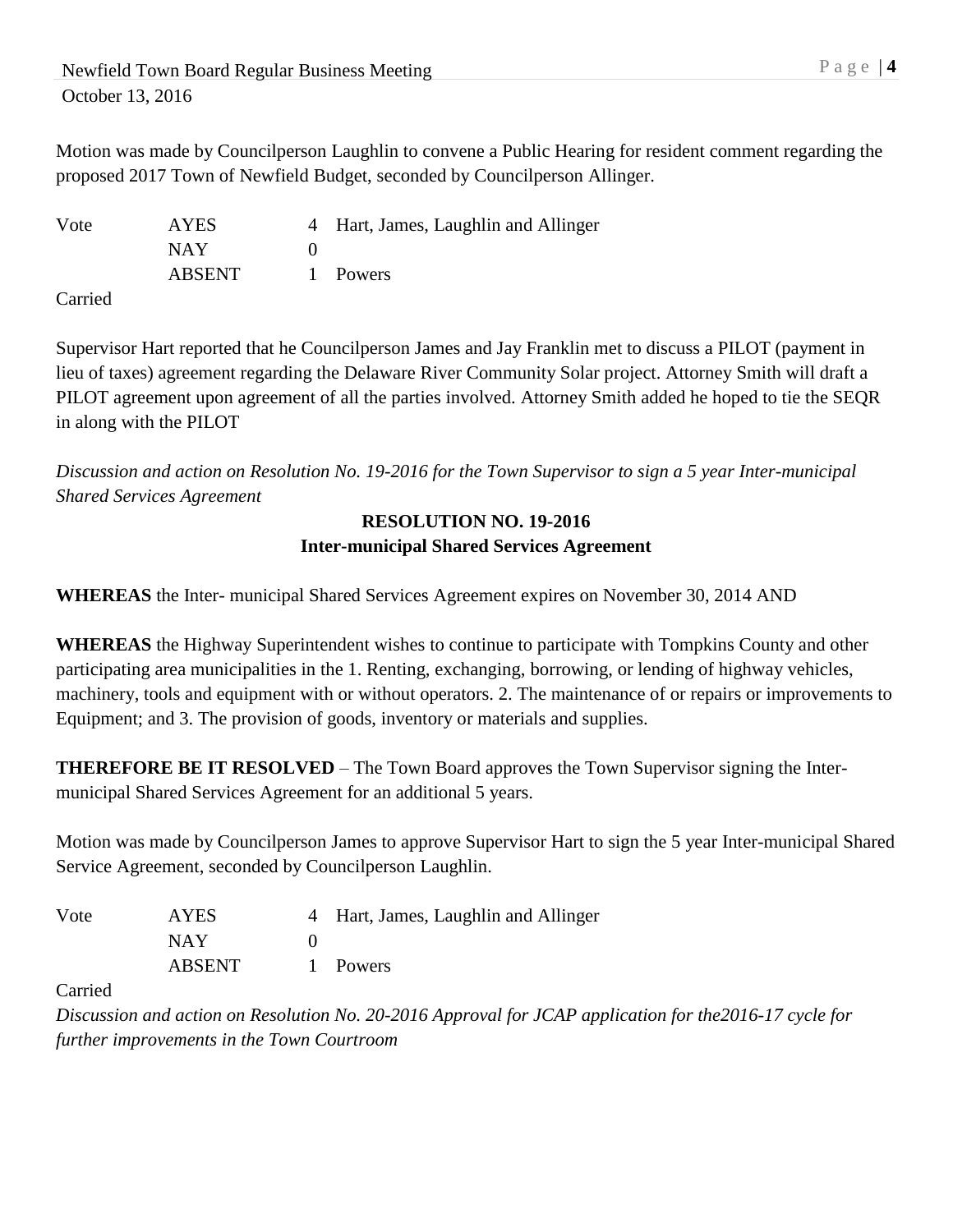Motion was made by Councilperson Laughlin to convene a Public Hearing for resident comment regarding the proposed 2017 Town of Newfield Budget, seconded by Councilperson Allinger.

Vote AYES 4 Hart, James, Laughlin and Allinger NAY 0 ABSENT 1 Powers

Carried

Supervisor Hart reported that he Councilperson James and Jay Franklin met to discuss a PILOT (payment in lieu of taxes) agreement regarding the Delaware River Community Solar project. Attorney Smith will draft a PILOT agreement upon agreement of all the parties involved. Attorney Smith added he hoped to tie the SEQR in along with the PILOT

*Discussion and action on Resolution No. 19-2016 for the Town Supervisor to sign a 5 year Inter-municipal Shared Services Agreement*

## **RESOLUTION NO. 19-2016 Inter-municipal Shared Services Agreement**

**WHEREAS** the Inter- municipal Shared Services Agreement expires on November 30, 2014 AND

**WHEREAS** the Highway Superintendent wishes to continue to participate with Tompkins County and other participating area municipalities in the 1. Renting, exchanging, borrowing, or lending of highway vehicles, machinery, tools and equipment with or without operators. 2. The maintenance of or repairs or improvements to Equipment; and 3. The provision of goods, inventory or materials and supplies.

**THEREFORE BE IT RESOLVED** – The Town Board approves the Town Supervisor signing the Intermunicipal Shared Services Agreement for an additional 5 years.

Motion was made by Councilperson James to approve Supervisor Hart to sign the 5 year Inter-municipal Shared Service Agreement, seconded by Councilperson Laughlin.

| Vote | <b>AYES</b>   | 4 Hart, James, Laughlin and Allinger |
|------|---------------|--------------------------------------|
|      | <b>NAY</b>    |                                      |
|      | <b>ABSENT</b> | 1 Powers                             |

Carried

*Discussion and action on Resolution No. 20-2016 Approval for JCAP application for the2016-17 cycle for further improvements in the Town Courtroom*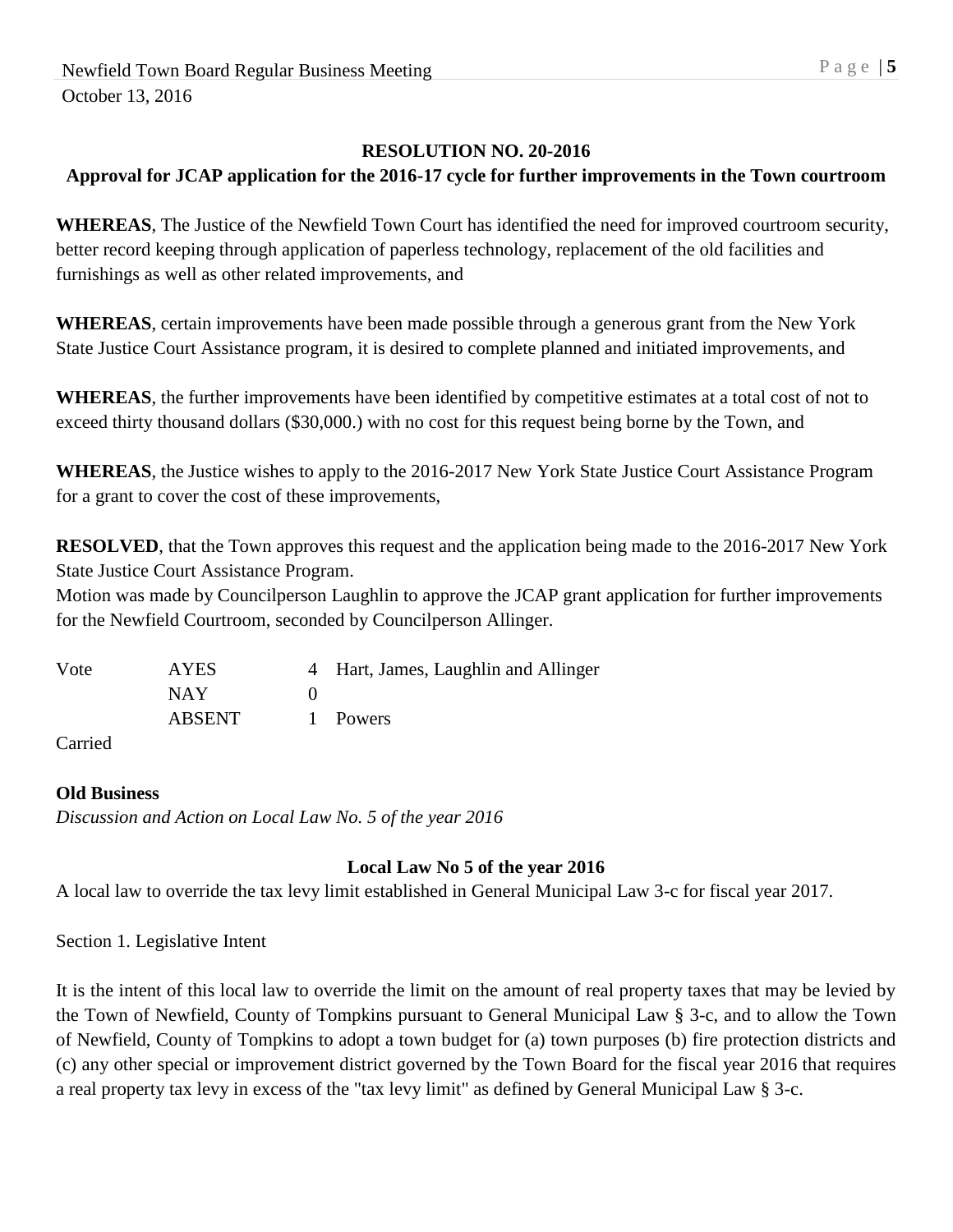### **RESOLUTION NO. 20-2016**

# **Approval for JCAP application for the 2016-17 cycle for further improvements in the Town courtroom**

**WHEREAS**, The Justice of the Newfield Town Court has identified the need for improved courtroom security, better record keeping through application of paperless technology, replacement of the old facilities and furnishings as well as other related improvements, and

**WHEREAS**, certain improvements have been made possible through a generous grant from the New York State Justice Court Assistance program, it is desired to complete planned and initiated improvements, and

**WHEREAS**, the further improvements have been identified by competitive estimates at a total cost of not to exceed thirty thousand dollars (\$30,000.) with no cost for this request being borne by the Town, and

**WHEREAS**, the Justice wishes to apply to the 2016-2017 New York State Justice Court Assistance Program for a grant to cover the cost of these improvements,

**RESOLVED**, that the Town approves this request and the application being made to the 2016-2017 New York State Justice Court Assistance Program.

Motion was made by Councilperson Laughlin to approve the JCAP grant application for further improvements for the Newfield Courtroom, seconded by Councilperson Allinger.

| Vote | <b>AYES</b>   | 4 Hart, James, Laughlin and Allinger |
|------|---------------|--------------------------------------|
|      | NAY.          |                                      |
|      | <b>ABSENT</b> | 1 Powers                             |

Carried

### **Old Business**

*Discussion and Action on Local Law No. 5 of the year 2016*

### **Local Law No 5 of the year 2016**

A local law to override the tax levy limit established in General Municipal Law 3-c for fiscal year 2017.

Section 1. Legislative Intent

It is the intent of this local law to override the limit on the amount of real property taxes that may be levied by the Town of Newfield, County of Tompkins pursuant to General Municipal Law § 3-c, and to allow the Town of Newfield, County of Tompkins to adopt a town budget for (a) town purposes (b) fire protection districts and (c) any other special or improvement district governed by the Town Board for the fiscal year 2016 that requires a real property tax levy in excess of the "tax levy limit" as defined by General Municipal Law § 3-c.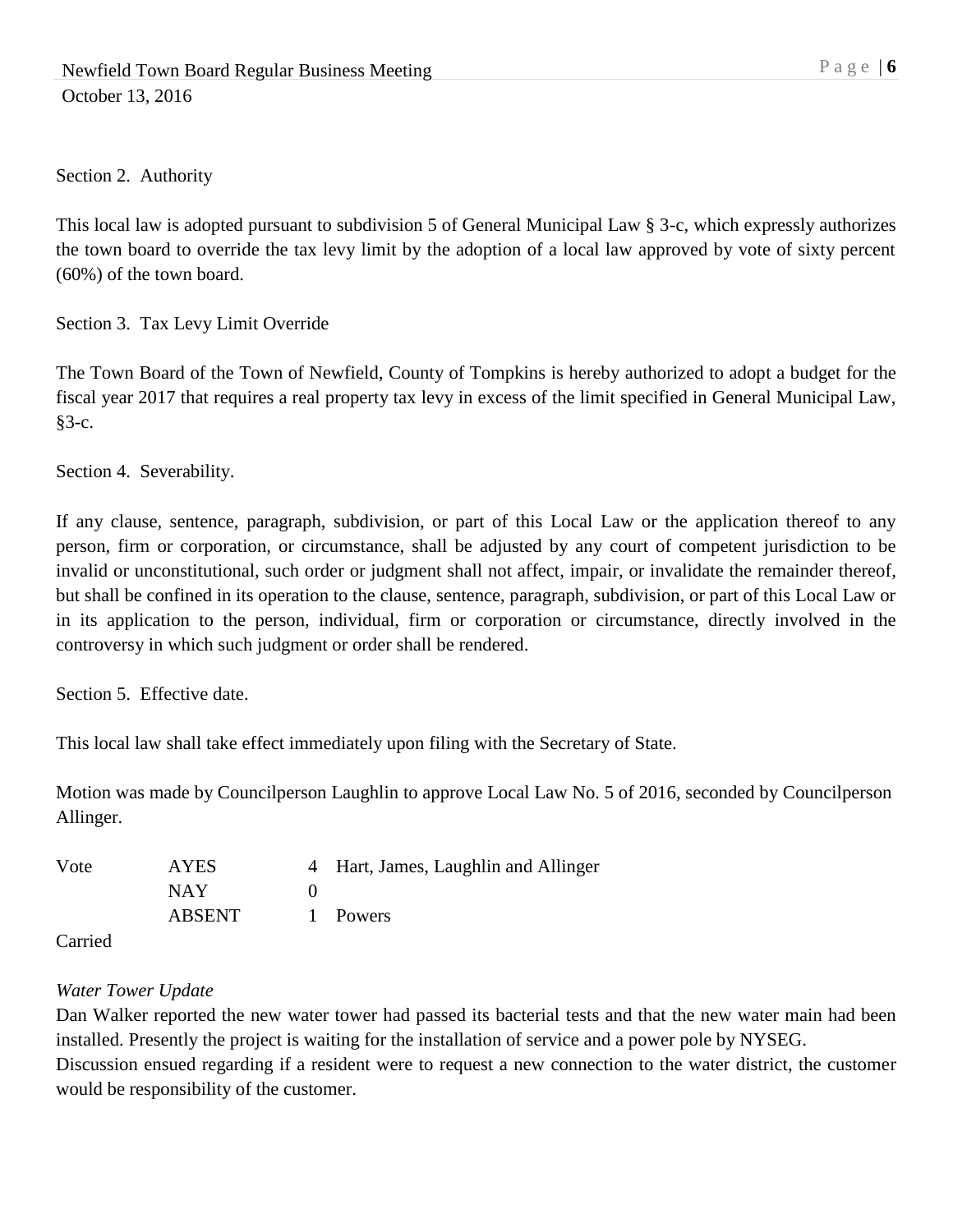Section 2. Authority

This local law is adopted pursuant to subdivision 5 of General Municipal Law § 3-c, which expressly authorizes the town board to override the tax levy limit by the adoption of a local law approved by vote of sixty percent (60%) of the town board.

Section 3. Tax Levy Limit Override

The Town Board of the Town of Newfield, County of Tompkins is hereby authorized to adopt a budget for the fiscal year 2017 that requires a real property tax levy in excess of the limit specified in General Municipal Law, §3-c.

Section 4. Severability.

If any clause, sentence, paragraph, subdivision, or part of this Local Law or the application thereof to any person, firm or corporation, or circumstance, shall be adjusted by any court of competent jurisdiction to be invalid or unconstitutional, such order or judgment shall not affect, impair, or invalidate the remainder thereof, but shall be confined in its operation to the clause, sentence, paragraph, subdivision, or part of this Local Law or in its application to the person, individual, firm or corporation or circumstance, directly involved in the controversy in which such judgment or order shall be rendered.

Section 5. Effective date.

This local law shall take effect immediately upon filing with the Secretary of State.

Motion was made by Councilperson Laughlin to approve Local Law No. 5 of 2016, seconded by Councilperson Allinger.

| Vote | <b>AYES</b>   | 4 Hart, James, Laughlin and Allinger |
|------|---------------|--------------------------------------|
|      | NAY.          |                                      |
|      | <b>ABSENT</b> | 1 Powers                             |

Carried

### *Water Tower Update*

Dan Walker reported the new water tower had passed its bacterial tests and that the new water main had been installed. Presently the project is waiting for the installation of service and a power pole by NYSEG. Discussion ensued regarding if a resident were to request a new connection to the water district, the customer

would be responsibility of the customer.